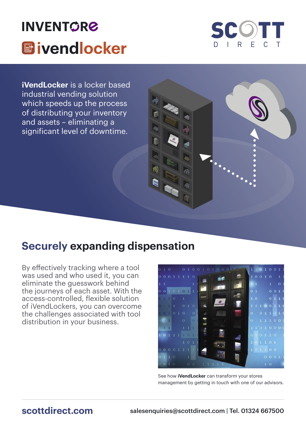



**iVendLocker** is a locker based industrial vending solution which speeds up the process of distributing your inventory and assets – eliminating a significant level of downtime.

## **Securely expanding dispensation**

By effectively tracking where a tool was used and who used it, you can eliminate the guesswork behind the journeys of each asset. With the access-controlled, flexible solution of iVendLockers, you can overcome the challenges associated with tool distribution in your business.



See how **iVendLocker** can transform your stores management by getting in touch with one of our advisors.